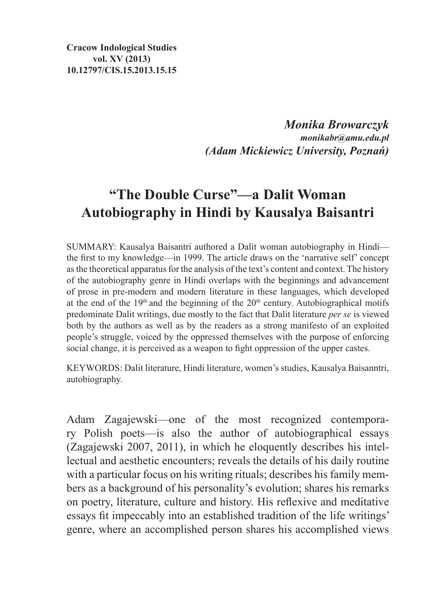**Cracow Indological Studies vol. XV (2013) 10.12797/CIS.15.2013.15.15**

> *Monika Browarczyk monikabr@amu.edu.pl (Adam Mickiewicz University, Poznań)*

## **"The Double Curse"—a Dalit Woman Autobiography in Hindi by Kausalya Baisantri**

SUMMARY: Kausalya Baisantri authored a Dalit woman autobiography in Hindi the first to my knowledge—in 1999. The article draws on the 'narrative self' concept asthe theoretical apparatus for the analysis of the text's content and context. The history of the autobiography genre in Hindi overlaps with the beginnings and advancement of prose in pre-modern and modern literature in these languages, which developed at the end of the  $19<sup>th</sup>$  and the beginning of the  $20<sup>th</sup>$  century. Autobiographical motifs predominate Dalit writings, due mostly to the fact that Dalit literature *per se* is viewed both by the authors as well as by the readers as a strong manifesto of an exploited people's struggle, voiced by the oppressed themselves with the purpose of enforcing social change, it is perceived as a weapon to fight oppression of the upper castes.

KEYWORDS: Dalit literature, Hindi literature, women's studies, Kausalya Baisanntri, autobiography.

Adam Zagajewski—one of the most recognized contemporary Polish poets—is also the author of autobiographical essays (Zagajewski 2007, 2011), in which he eloquently describes his intellectual and aesthetic encounters; reveals the details of his daily routine with a particular focus on his writing rituals; describes his family members as a background of his personality's evolution; shares his remarks on poetry, literature, culture and history. His reflexive and meditative essays fit impeccably into an established tradition of the life writings' genre, where an accomplished person shares his accomplished views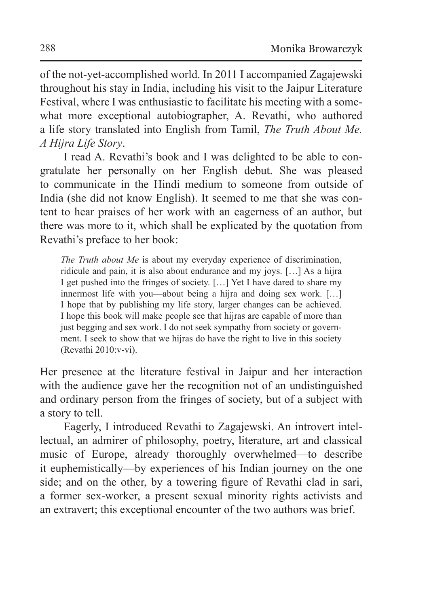of the not-yet-accomplished world. In 2011 I accompanied Zagajewski throughout his stay in India, including his visit to the Jaipur Literature Festival, where I was enthusiastic to facilitate his meeting with a somewhat more exceptional autobiographer, A. Revathi, who authored a life story translated into English from Tamil, *The Truth About Me. A Hijra Life Story*.

I read A. Revathi's book and I was delighted to be able to congratulate her personally on her English debut. She was pleased to communicate in the Hindi medium to someone from outside of India (she did not know English). It seemed to me that she was content to hear praises of her work with an eagerness of an author, but there was more to it, which shall be explicated by the quotation from Revathi's preface to her book:

*The Truth about Me* is about my everyday experience of discrimination, ridicule and pain, it is also about endurance and my joys. […] As a hijra I get pushed into the fringes of society. […] Yet I have dared to share my innermost life with you—about being a hijra and doing sex work. […] I hope that by publishing my life story, larger changes can be achieved. I hope this book will make people see that hijras are capable of more than just begging and sex work. I do not seek sympathy from society or government. I seek to show that we hijras do have the right to live in this society (Revathi 2010:v-vi).

Her presence at the literature festival in Jaipur and her interaction with the audience gave her the recognition not of an undistinguished and ordinary person from the fringes of society, but of a subject with a story to tell.

Eagerly, I introduced Revathi to Zagajewski. An introvert intellectual, an admirer of philosophy, poetry, literature, art and classical music of Europe, already thoroughly overwhelmed—to describe it euphemistically—by experiences of his Indian journey on the one side; and on the other, by a towering figure of Revathi clad in sari, a former sex-worker, a present sexual minority rights activists and an extravert; this exceptional encounter of the two authors was brief.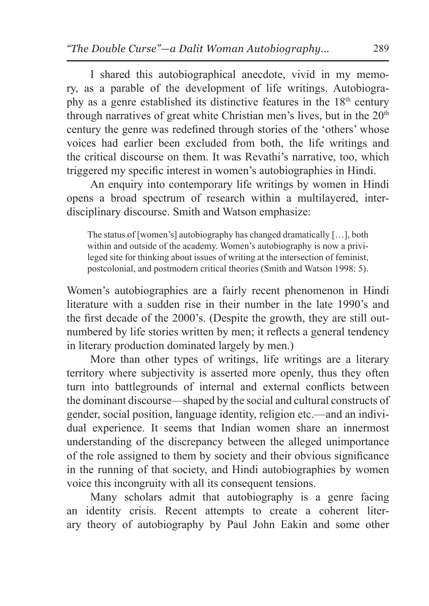I shared this autobiographical anecdote, vivid in my memory, as a parable of the development of life writings. Autobiography as a genre established its distinctive features in the 18th century through narratives of great white Christian men's lives, but in the 20<sup>th</sup> century the genre was redefined through stories of the 'others' whose voices had earlier been excluded from both, the life writings and the critical discourse on them. It was Revathi's narrative, too, which triggered my specific interest in women's autobiographies in Hindi.

An enquiry into contemporary life writings by women in Hindi opens a broad spectrum of research within a multilayered, interdisciplinary discourse. Smith and Watson emphasize:

The status of [women's] autobiography has changed dramatically […], both within and outside of the academy. Women's autobiography is now a privileged site for thinking about issues of writing at the intersection of feminist, postcolonial, and postmodern critical theories (Smith and Watson 1998: 5).

Women's autobiographies are a fairly recent phenomenon in Hindi literature with a sudden rise in their number in the late 1990's and the first decade of the 2000's. (Despite the growth, they are still outnumbered by life stories written by men; it reflects a general tendency in literary production dominated largely by men.)

More than other types of writings, life writings are a literary territory where subjectivity is asserted more openly, thus they often turn into battlegrounds of internal and external conflicts between the dominant discourse—shaped by the social and cultural constructs of gender, social position, language identity, religion etc.—and an individual experience. It seems that Indian women share an innermost understanding of the discrepancy between the alleged unimportance of the role assigned to them by society and their obvious significance in the running of that society, and Hindi autobiographies by women voice this incongruity with all its consequent tensions.

Many scholars admit that autobiography is a genre facing an identity crisis. Recent attempts to create a coherent literary theory of autobiography by Paul John Eakin and some other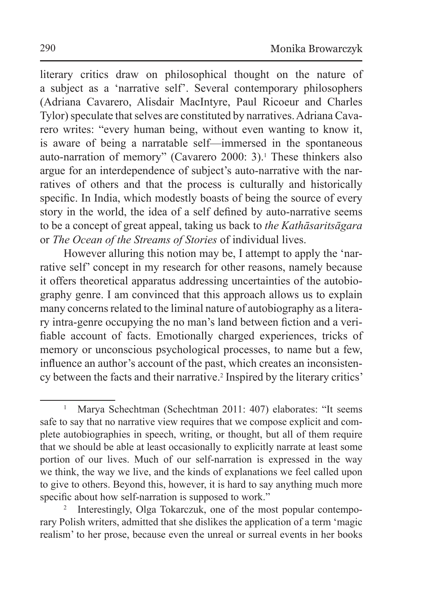literary critics draw on philosophical thought on the nature of a subject as a 'narrative self'. Several contemporary philosophers (Adriana Cavarero, Alisdair MacIntyre, Paul Ricoeur and Charles Tylor) speculate that selves are constituted by narratives. Adriana Cavarero writes: "every human being, without even wanting to know it, is aware of being a narratable self—immersed in the spontaneous auto-narration of memory" (Cavarero 2000: 3).<sup>1</sup> These thinkers also argue for an interdependence of subject's auto-narrative with the narratives of others and that the process is culturally and historically specific. In India, which modestly boasts of being the source of every story in the world, the idea of a self defined by auto-narrative seems to be a concept of great appeal, taking us back to *the Kathāsaritsāgara* or *The Ocean of the Streams of Stories* of individual lives.

However alluring this notion may be, I attempt to apply the 'narrative self' concept in my research for other reasons, namely because it offers theoretical apparatus addressing uncertainties of the autobiography genre. I am convinced that this approach allows us to explain many concerns related to the liminal nature of autobiography as a literary intra-genre occupying the no man's land between fiction and a verifiable account of facts. Emotionally charged experiences, tricks of memory or unconscious psychological processes, to name but a few, influence an author's account of the past, which creates an inconsistency between the facts and their narrative.<sup>2</sup> Inspired by the literary critics'

<sup>&</sup>lt;sup>1</sup> Marya Schechtman (Schechtman 2011: 407) elaborates: "It seems safe to say that no narrative view requires that we compose explicit and complete autobiographies in speech, writing, or thought, but all of them require that we should be able at least occasionally to explicitly narrate at least some portion of our lives. Much of our self-narration is expressed in the way we think, the way we live, and the kinds of explanations we feel called upon to give to others. Beyond this, however, it is hard to say anything much more specific about how self-narration is supposed to work."

Interestingly, Olga Tokarczuk, one of the most popular contemporary Polish writers, admitted that she dislikes the application of a term 'magic realism' to her prose, because even the unreal or surreal events in her books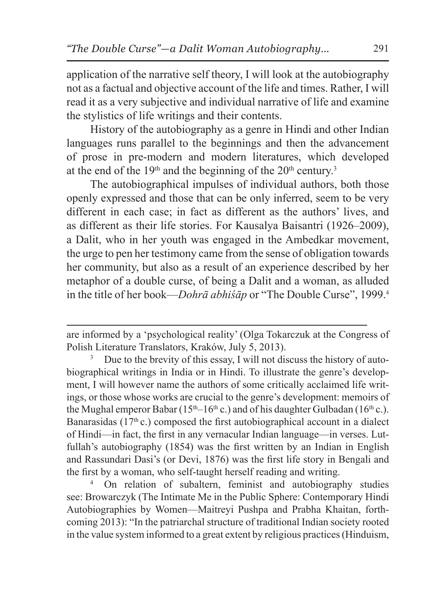application of the narrative self theory, I will look at the autobiography not as a factual and objective account of the life and times. Rather, I will read it as a very subjective and individual narrative of life and examine the stylistics of life writings and their contents.

History of the autobiography as a genre in Hindi and other Indian languages runs parallel to the beginnings and then the advancement of prose in pre-modern and modern literatures, which developed at the end of the  $19<sup>th</sup>$  and the beginning of the  $20<sup>th</sup>$  century.<sup>3</sup>

The autobiographical impulses of individual authors, both those openly expressed and those that can be only inferred, seem to be very different in each case; in fact as different as the authors' lives, and as different as their life stories. For Kausalya Baisantri (1926–2009), a Dalit, who in her youth was engaged in the Ambedkar movement, the urge to pen her testimony came from the sense of obligation towards her community, but also as a result of an experience described by her metaphor of a double curse, of being a Dalit and a woman, as alluded in the title of her book—*Dohrā abhiśāp* or "The Double Curse", 1999.<sup>4</sup>

<sup>3</sup> Due to the brevity of this essay, I will not discuss the history of autobiographical writings in India or in Hindi. To illustrate the genre's development, I will however name the authors of some critically acclaimed life writings, or those whose works are crucial to the genre's development: memoirs of the Mughal emperor Babar (15<sup>th</sup>–16<sup>th</sup> c.) and of his daughter Gulbadan (16<sup>th</sup> c.). Banarasidas ( $17<sup>th</sup>$ c.) composed the first autobiographical account in a dialect of Hindi—in fact, the first in any vernacular Indian language—in verses. Lutfullah's autobiography (1854) was the first written by an Indian in English and Rassundari Dasi's (or Devi, 1876) was the first life story in Bengali and the first by a woman, who self-taught herself reading and writing.

<sup>4</sup> On relation of subaltern, feminist and autobiography studies see: Browarczyk (The Intimate Me in the Public Sphere: Contemporary Hindi Autobiographies by Women—Maitreyi Pushpa and Prabha Khaitan, forthcoming 2013): "In the patriarchal structure of traditional Indian society rooted in the value system informed to a great extent by religious practices (Hinduism,

are informed by a 'psychological reality' (Olga Tokarczuk at the Congress of Polish Literature Translators, Kraków, July 5, 2013).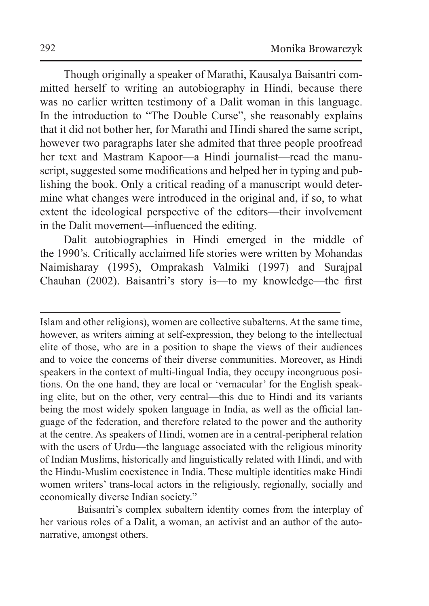Though originally a speaker of Marathi, Kausalya Baisantri committed herself to writing an autobiography in Hindi, because there was no earlier written testimony of a Dalit woman in this language. In the introduction to "The Double Curse", she reasonably explains that it did not bother her, for Marathi and Hindi shared the same script, however two paragraphs later she admited that three people proofread her text and Mastram Kapoor—a Hindi journalist—read the manuscript, suggested some modifications and helped her in typing and publishing the book. Only a critical reading of a manuscript would determine what changes were introduced in the original and, if so, to what extent the ideological perspective of the editors—their involvement in the Dalit movement—influenced the editing.

Dalit autobiographies in Hindi emerged in the middle of the 1990's. Critically acclaimed life stories were written by Mohandas Naimisharay (1995), Omprakash Valmiki (1997) and Surajpal Chauhan (2002). Baisantri's story is—to my knowledge—the first

Islam and other religions), women are collective subalterns. At the same time, however, as writers aiming at self-expression, they belong to the intellectual elite of those, who are in a position to shape the views of their audiences and to voice the concerns of their diverse communities. Moreover, as Hindi speakers in the context of multi-lingual India, they occupy incongruous positions. On the one hand, they are local or 'vernacular' for the English speaking elite, but on the other, very central—this due to Hindi and its variants being the most widely spoken language in India, as well as the official language of the federation, and therefore related to the power and the authority at the centre. As speakers of Hindi, women are in a central-peripheral relation with the users of Urdu—the language associated with the religious minority of Indian Muslims, historically and linguistically related with Hindi, and with the Hindu-Muslim coexistence in India. These multiple identities make Hindi women writers' trans-local actors in the religiously, regionally, socially and economically diverse Indian society."

Baisantri's complex subaltern identity comes from the interplay of her various roles of a Dalit, a woman, an activist and an author of the autonarrative, amongst others.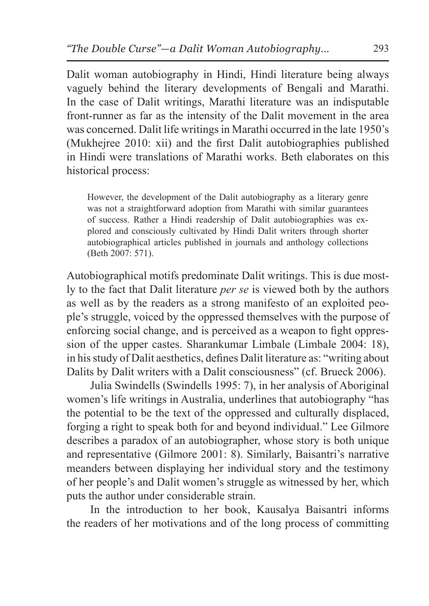Dalit woman autobiography in Hindi, Hindi literature being always vaguely behind the literary developments of Bengali and Marathi. In the case of Dalit writings, Marathi literature was an indisputable front-runner as far as the intensity of the Dalit movement in the area was concerned. Dalit life writings in Marathi occurred in the late 1950's (Mukhejree 2010: xii) and the first Dalit autobiographies published in Hindi were translations of Marathi works. Beth elaborates on this historical process:

However, the development of the Dalit autobiography as a literary genre was not a straightforward adoption from Marathi with similar guarantees of success. Rather a Hindi readership of Dalit autobiographies was explored and consciously cultivated by Hindi Dalit writers through shorter autobiographical articles published in journals and anthology collections (Beth 2007: 571).

Autobiographical motifs predominate Dalit writings. This is due mostly to the fact that Dalit literature *per se* is viewed both by the authors as well as by the readers as a strong manifesto of an exploited people's struggle, voiced by the oppressed themselves with the purpose of enforcing social change, and is perceived as a weapon to fight oppression of the upper castes. Sharankumar Limbale (Limbale 2004: 18), in his study of Dalit aesthetics, defines Dalit literature as: "writing about Dalits by Dalit writers with a Dalit consciousness" (cf. Brueck 2006).

Julia Swindells (Swindells 1995: 7), in her analysis of Aboriginal women's life writings in Australia, underlines that autobiography "has the potential to be the text of the oppressed and culturally displaced, forging a right to speak both for and beyond individual." Lee Gilmore describes a paradox of an autobiographer, whose story is both unique and representative (Gilmore 2001: 8). Similarly, Baisantri's narrative meanders between displaying her individual story and the testimony of her people's and Dalit women's struggle as witnessed by her, which puts the author under considerable strain.

In the introduction to her book, Kausalya Baisantri informs the readers of her motivations and of the long process of committing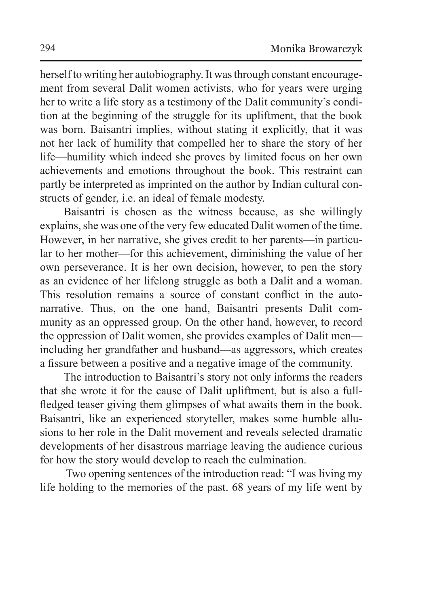herself to writing her autobiography. It was through constant encouragement from several Dalit women activists, who for years were urging her to write a life story as a testimony of the Dalit community's condition at the beginning of the struggle for its upliftment, that the book was born. Baisantri implies, without stating it explicitly, that it was not her lack of humility that compelled her to share the story of her life—humility which indeed she proves by limited focus on her own achievements and emotions throughout the book. This restraint can partly be interpreted as imprinted on the author by Indian cultural constructs of gender, i.e. an ideal of female modesty.

Baisantri is chosen as the witness because, as she willingly explains, she was one of the very few educated Dalit women of the time. However, in her narrative, she gives credit to her parents—in particular to her mother—for this achievement, diminishing the value of her own perseverance. It is her own decision, however, to pen the story as an evidence of her lifelong struggle as both a Dalit and a woman. This resolution remains a source of constant conflict in the autonarrative. Thus, on the one hand, Baisantri presents Dalit community as an oppressed group. On the other hand, however, to record the oppression of Dalit women, she provides examples of Dalit men including her grandfather and husband—as aggressors, which creates a fissure between a positive and a negative image of the community.

The introduction to Baisantri's story not only informs the readers that she wrote it for the cause of Dalit upliftment, but is also a fullfledged teaser giving them glimpses of what awaits them in the book. Baisantri, like an experienced storyteller, makes some humble allusions to her role in the Dalit movement and reveals selected dramatic developments of her disastrous marriage leaving the audience curious for how the story would develop to reach the culmination.

 Two opening sentences of the introduction read: "I was living my life holding to the memories of the past. 68 years of my life went by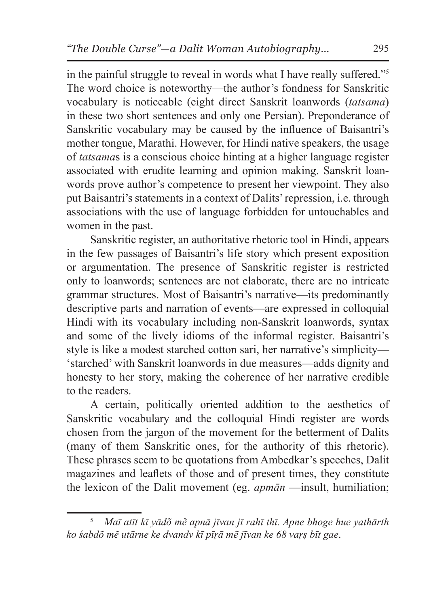in the painful struggle to reveal in words what I have really suffered."<sup>5</sup> The word choice is noteworthy—the author's fondness for Sanskritic vocabulary is noticeable (eight direct Sanskrit loanwords (*tatsama*) in these two short sentences and only one Persian). Preponderance of Sanskritic vocabulary may be caused by the influence of Baisantri's mother tongue, Marathi. However, for Hindi native speakers, the usage of *tatsama*s is a conscious choice hinting at a higher language register associated with erudite learning and opinion making. Sanskrit loanwords prove author's competence to present her viewpoint. They also put Baisantri's statements in a context of Dalits' repression, i.e. through associations with the use of language forbidden for untouchables and women in the past.

Sanskritic register, an authoritative rhetoric tool in Hindi, appears in the few passages of Baisantri's life story which present exposition or argumentation. The presence of Sanskritic register is restricted only to loanwords; sentences are not elaborate, there are no intricate grammar structures. Most of Baisantri's narrative—its predominantly descriptive parts and narration of events—are expressed in colloquial Hindi with its vocabulary including non-Sanskrit loanwords, syntax and some of the lively idioms of the informal register. Baisantri's style is like a modest starched cotton sari, her narrative's simplicity— 'starched' with Sanskrit loanwords in due measures—adds dignity and honesty to her story, making the coherence of her narrative credible to the readers.

A certain, politically oriented addition to the aesthetics of Sanskritic vocabulary and the colloquial Hindi register are words chosen from the jargon of the movement for the betterment of Dalits (many of them Sanskritic ones, for the authority of this rhetoric). These phrases seem to be quotations from Ambedkar's speeches, Dalit magazines and leaflets of those and of present times, they constitute the lexicon of the Dalit movement (eg. *apmān* —insult, humiliation;

<sup>5</sup> *Maī atīt kī yādõ mẽ apnā jīvan jī rahī thī. Apne bhoge hue yathārth ko śabdõ mẽ utārne ke dvandv kī pīṛā mẽ jīvan ke 68 vaṛṣ bīt gae*.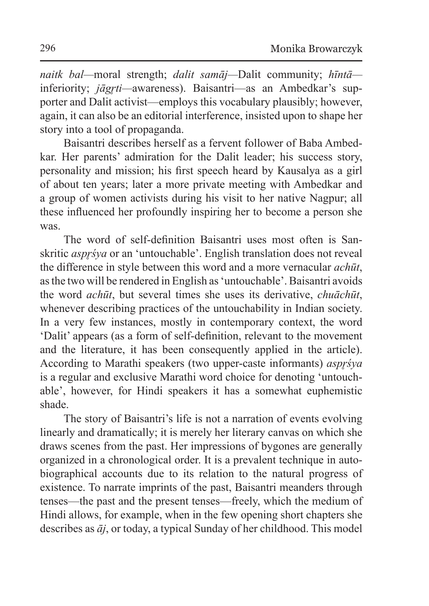*naitk bal—*moral strength; *dalit samāj—*Dalit community; *hīntā* inferiority: *jāgrti*—awareness). Baisantri—as an Ambedkar's supporter and Dalit activist—employs this vocabulary plausibly; however, again, it can also be an editorial interference, insisted upon to shape her story into a tool of propaganda.

Baisantri describes herself as a fervent follower of Baba Ambedkar. Her parents' admiration for the Dalit leader; his success story, personality and mission; his first speech heard by Kausalya as a girl of about ten years; later a more private meeting with Ambedkar and a group of women activists during his visit to her native Nagpur; all these influenced her profoundly inspiring her to become a person she was.

The word of self-definition Baisantri uses most often is Sanskritic *aspr'sya* or an 'untouchable'. English translation does not reveal the difference in style between this word and a more vernacular *achūt*, asthe two will be rendered in English as'untouchable'. Baisantri avoids the word *achūt*, but several times she uses its derivative, *chuāchūt*, whenever describing practices of the untouchability in Indian society. In a very few instances, mostly in contemporary context, the word 'Dalit' appears (as a form of self-definition, relevant to the movement and the literature, it has been consequently applied in the article). According to Marathi speakers (two upper-caste informants) *asprśya* is a regular and exclusive Marathi word choice for denoting 'untouchable', however, for Hindi speakers it has a somewhat euphemistic shade.

The story of Baisantri's life is not a narration of events evolving linearly and dramatically; it is merely her literary canvas on which she draws scenes from the past. Her impressions of bygones are generally organized in a chronological order. It is a prevalent technique in autobiographical accounts due to its relation to the natural progress of existence. To narrate imprints of the past, Baisantri meanders through tenses—the past and the present tenses—freely, which the medium of Hindi allows, for example, when in the few opening short chapters she describes as *āj*, or today, a typical Sunday of her childhood. This model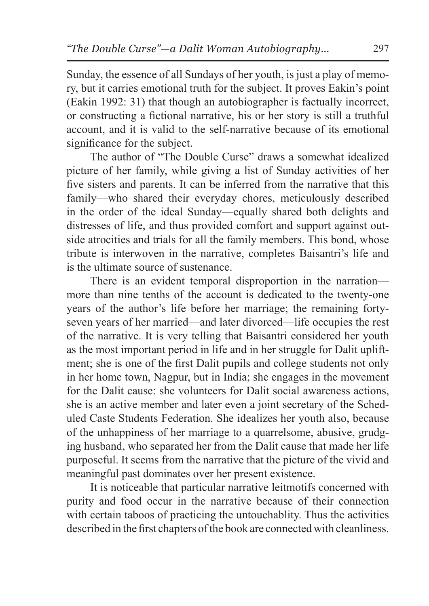Sunday, the essence of all Sundays of her youth, is just a play of memory, but it carries emotional truth for the subject. It proves Eakin's point (Eakin 1992: 31) that though an autobiographer is factually incorrect, or constructing a fictional narrative, his or her story is still a truthful account, and it is valid to the self-narrative because of its emotional significance for the subject.

The author of "The Double Curse" draws a somewhat idealized picture of her family, while giving a list of Sunday activities of her five sisters and parents. It can be inferred from the narrative that this family—who shared their everyday chores, meticulously described in the order of the ideal Sunday—equally shared both delights and distresses of life, and thus provided comfort and support against outside atrocities and trials for all the family members. This bond, whose tribute is interwoven in the narrative, completes Baisantri's life and is the ultimate source of sustenance.

There is an evident temporal disproportion in the narration more than nine tenths of the account is dedicated to the twenty-one years of the author's life before her marriage; the remaining fortyseven years of her married—and later divorced—life occupies the rest of the narrative. It is very telling that Baisantri considered her youth as the most important period in life and in her struggle for Dalit upliftment; she is one of the first Dalit pupils and college students not only in her home town, Nagpur, but in India; she engages in the movement for the Dalit cause: she volunteers for Dalit social awareness actions, she is an active member and later even a joint secretary of the Scheduled Caste Students Federation. She idealizes her youth also, because of the unhappiness of her marriage to a quarrelsome, abusive, grudging husband, who separated her from the Dalit cause that made her life purposeful. It seems from the narrative that the picture of the vivid and meaningful past dominates over her present existence.

It is noticeable that particular narrative leitmotifs concerned with purity and food occur in the narrative because of their connection with certain taboos of practicing the untouchablity. Thus the activities described in the first chapters of the book are connected with cleanliness.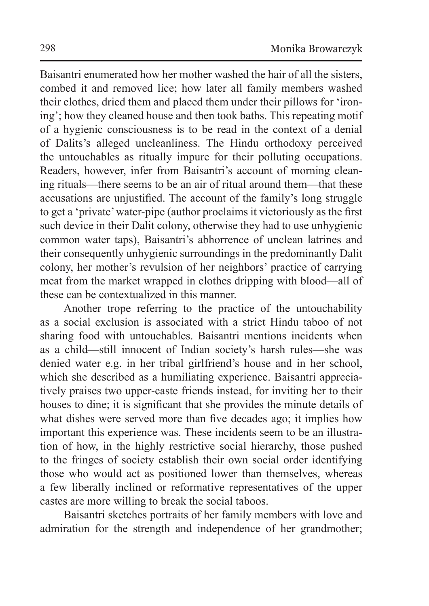Baisantri enumerated how her mother washed the hair of all the sisters, combed it and removed lice; how later all family members washed their clothes, dried them and placed them under their pillows for 'ironing'; how they cleaned house and then took baths. This repeating motif of a hygienic consciousness is to be read in the context of a denial of Dalits's alleged uncleanliness. The Hindu orthodoxy perceived the untouchables as ritually impure for their polluting occupations. Readers, however, infer from Baisantri's account of morning cleaning rituals—there seems to be an air of ritual around them—that these accusations are unjustified. The account of the family's long struggle to get a 'private' water-pipe (author proclaims it victoriously as the first such device in their Dalit colony, otherwise they had to use unhygienic common water taps), Baisantri's abhorrence of unclean latrines and their consequently unhygienic surroundings in the predominantly Dalit colony, her mother's revulsion of her neighbors' practice of carrying meat from the market wrapped in clothes dripping with blood—all of these can be contextualized in this manner.

Another trope referring to the practice of the untouchability as a social exclusion is associated with a strict Hindu taboo of not sharing food with untouchables. Baisantri mentions incidents when as a child—still innocent of Indian society's harsh rules—she was denied water e.g. in her tribal girlfriend's house and in her school, which she described as a humiliating experience. Baisantri appreciatively praises two upper-caste friends instead, for inviting her to their houses to dine; it is significant that she provides the minute details of what dishes were served more than five decades ago; it implies how important this experience was. These incidents seem to be an illustration of how, in the highly restrictive social hierarchy, those pushed to the fringes of society establish their own social order identifying those who would act as positioned lower than themselves, whereas a few liberally inclined or reformative representatives of the upper castes are more willing to break the social taboos.

Baisantri sketches portraits of her family members with love and admiration for the strength and independence of her grandmother;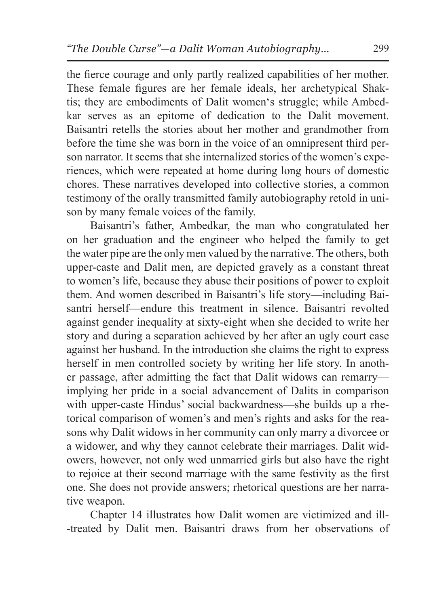the fierce courage and only partly realized capabilities of her mother. These female figures are her female ideals, her archetypical Shaktis; they are embodiments of Dalit women's struggle; while Ambedkar serves as an epitome of dedication to the Dalit movement. Baisantri retells the stories about her mother and grandmother from before the time she was born in the voice of an omnipresent third person narrator. It seems that she internalized stories of the women's experiences, which were repeated at home during long hours of domestic chores. These narratives developed into collective stories, a common testimony of the orally transmitted family autobiography retold in unison by many female voices of the family.

Baisantri's father, Ambedkar, the man who congratulated her on her graduation and the engineer who helped the family to get the water pipe are the only men valued by the narrative. The others, both upper-caste and Dalit men, are depicted gravely as a constant threat to women's life, because they abuse their positions of power to exploit them. And women described in Baisantri's life story—including Baisantri herself—endure this treatment in silence. Baisantri revolted against gender inequality at sixty-eight when she decided to write her story and during a separation achieved by her after an ugly court case against her husband. In the introduction she claims the right to express herself in men controlled society by writing her life story. In another passage, after admitting the fact that Dalit widows can remarry implying her pride in a social advancement of Dalits in comparison with upper-caste Hindus' social backwardness—she builds up a rhetorical comparison of women's and men's rights and asks for the reasons why Dalit widows in her community can only marry a divorcee or a widower, and why they cannot celebrate their marriages. Dalit widowers, however, not only wed unmarried girls but also have the right to rejoice at their second marriage with the same festivity as the first one. She does not provide answers; rhetorical questions are her narrative weapon.

Chapter 14 illustrates how Dalit women are victimized and ill-treated by Dalit men. Baisantri draws from her observations of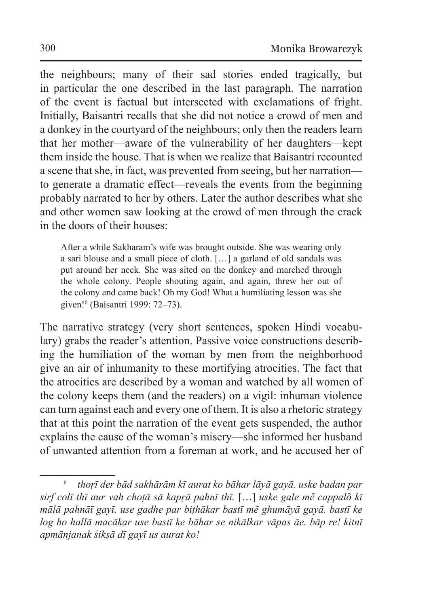the neighbours; many of their sad stories ended tragically, but in particular the one described in the last paragraph. The narration of the event is factual but intersected with exclamations of fright. Initially, Baisantri recalls that she did not notice a crowd of men and a donkey in the courtyard of the neighbours; only then the readers learn that her mother—aware of the vulnerability of her daughters—kept them inside the house. That is when we realize that Baisantri recounted a scene that she, in fact, was prevented from seeing, but her narration to generate a dramatic effect—reveals the events from the beginning probably narrated to her by others. Later the author describes what she and other women saw looking at the crowd of men through the crack in the doors of their houses:

After a while Sakharam's wife was brought outside. She was wearing only a sari blouse and a small piece of cloth. […] a garland of old sandals was put around her neck. She was sited on the donkey and marched through the whole colony. People shouting again, and again, threw her out of the colony and came back! Oh my God! What a humiliating lesson was she given!<sup>6</sup> (Baisantri 1999: 72–73).

The narrative strategy (very short sentences, spoken Hindi vocabulary) grabs the reader's attention. Passive voice constructions describing the humiliation of the woman by men from the neighborhood give an air of inhumanity to these mortifying atrocities. The fact that the atrocities are described by a woman and watched by all women of the colony keeps them (and the readers) on a vigil: inhuman violence can turn against each and every one of them. It is also a rhetoric strategy that at this point the narration of the event gets suspended, the author explains the cause of the woman's misery—she informed her husband of unwanted attention from a foreman at work, and he accused her of

<sup>6</sup> *thoṛī der bād sakhārām kī aurat ko bāhar lāyā gayā. uske badan par sirf colī thī aur vah choṭā sā kapṛā pahnī thī.* […] *uske gale mẽ cappalõ kī mālā pahnāī gayī. use gadhe par biṭhākar bastī mẽ ghumāyā gayā. bastī ke log ho hallā macākar use bastī ke bāhar se nikālkar vāpas āe. bāp re! kitnī apmānjanak śikṣā dī gayī us aurat ko!*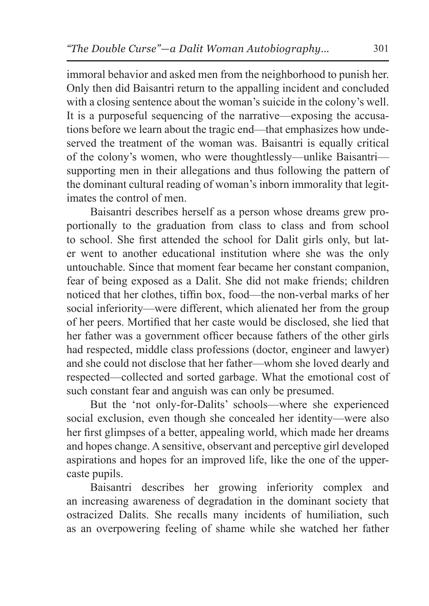immoral behavior and asked men from the neighborhood to punish her. Only then did Baisantri return to the appalling incident and concluded with a closing sentence about the woman's suicide in the colony's well. It is a purposeful sequencing of the narrative—exposing the accusations before we learn about the tragic end—that emphasizes how undeserved the treatment of the woman was. Baisantri is equally critical of the colony's women, who were thoughtlessly—unlike Baisantri supporting men in their allegations and thus following the pattern of the dominant cultural reading of woman's inborn immorality that legitimates the control of men.

Baisantri describes herself as a person whose dreams grew proportionally to the graduation from class to class and from school to school. She first attended the school for Dalit girls only, but later went to another educational institution where she was the only untouchable. Since that moment fear became her constant companion, fear of being exposed as a Dalit. She did not make friends; children noticed that her clothes, tiffin box, food—the non-verbal marks of her social inferiority—were different, which alienated her from the group of her peers. Mortified that her caste would be disclosed, she lied that her father was a government officer because fathers of the other girls had respected, middle class professions (doctor, engineer and lawyer) and she could not disclose that her father—whom she loved dearly and respected—collected and sorted garbage. What the emotional cost of such constant fear and anguish was can only be presumed.

But the 'not only-for-Dalits' schools—where she experienced social exclusion, even though she concealed her identity—were also her first glimpses of a better, appealing world, which made her dreams and hopes change. A sensitive, observant and perceptive girl developed aspirations and hopes for an improved life, like the one of the uppercaste pupils.

Baisantri describes her growing inferiority complex and an increasing awareness of degradation in the dominant society that ostracized Dalits. She recalls many incidents of humiliation, such as an overpowering feeling of shame while she watched her father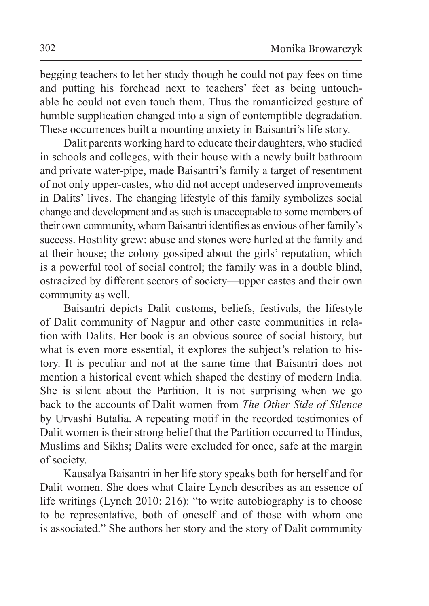begging teachers to let her study though he could not pay fees on time and putting his forehead next to teachers' feet as being untouchable he could not even touch them. Thus the romanticized gesture of humble supplication changed into a sign of contemptible degradation. These occurrences built a mounting anxiety in Baisantri's life story.

Dalit parents working hard to educate their daughters, who studied in schools and colleges, with their house with a newly built bathroom and private water-pipe, made Baisantri's family a target of resentment of not only upper-castes, who did not accept undeserved improvements in Dalits' lives. The changing lifestyle of this family symbolizes social change and development and as such is unacceptable to some members of their own community, whom Baisantri identifies as envious of her family's success. Hostility grew: abuse and stones were hurled at the family and at their house; the colony gossiped about the girls' reputation, which is a powerful tool of social control; the family was in a double blind, ostracized by different sectors of society—upper castes and their own community as well.

Baisantri depicts Dalit customs, beliefs, festivals, the lifestyle of Dalit community of Nagpur and other caste communities in relation with Dalits. Her book is an obvious source of social history, but what is even more essential, it explores the subject's relation to history. It is peculiar and not at the same time that Baisantri does not mention a historical event which shaped the destiny of modern India. She is silent about the Partition. It is not surprising when we go back to the accounts of Dalit women from *The Other Side of Silence*  by Urvashi Butalia. A repeating motif in the recorded testimonies of Dalit women is their strong belief that the Partition occurred to Hindus, Muslims and Sikhs; Dalits were excluded for once, safe at the margin of society.

Kausalya Baisantri in her life story speaks both for herself and for Dalit women. She does what Claire Lynch describes as an essence of life writings (Lynch 2010: 216): "to write autobiography is to choose to be representative, both of oneself and of those with whom one is associated." She authors her story and the story of Dalit community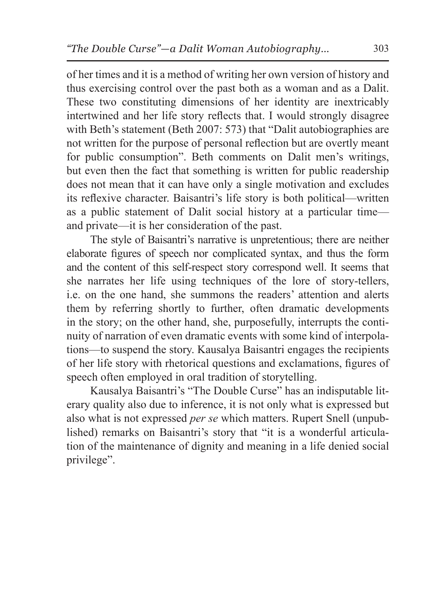of her times and it is a method of writing her own version of history and thus exercising control over the past both as a woman and as a Dalit. These two constituting dimensions of her identity are inextricably intertwined and her life story reflects that. I would strongly disagree with Beth's statement (Beth 2007: 573) that "Dalit autobiographies are not written for the purpose of personal reflection but are overtly meant for public consumption". Beth comments on Dalit men's writings, but even then the fact that something is written for public readership does not mean that it can have only a single motivation and excludes its reflexive character. Baisantri's life story is both political—written as a public statement of Dalit social history at a particular time and private—it is her consideration of the past.

The style of Baisantri's narrative is unpretentious; there are neither elaborate figures of speech nor complicated syntax, and thus the form and the content of this self-respect story correspond well. It seems that she narrates her life using techniques of the lore of story-tellers, i.e. on the one hand, she summons the readers' attention and alerts them by referring shortly to further, often dramatic developments in the story; on the other hand, she, purposefully, interrupts the continuity of narration of even dramatic events with some kind of interpolations—to suspend the story. Kausalya Baisantri engages the recipients of her life story with rhetorical questions and exclamations, figures of speech often employed in oral tradition of storytelling.

Kausalya Baisantri's "The Double Curse" has an indisputable literary quality also due to inference, it is not only what is expressed but also what is not expressed *per se* which matters. Rupert Snell (unpublished) remarks on Baisantri's story that "it is a wonderful articulation of the maintenance of dignity and meaning in a life denied social privilege".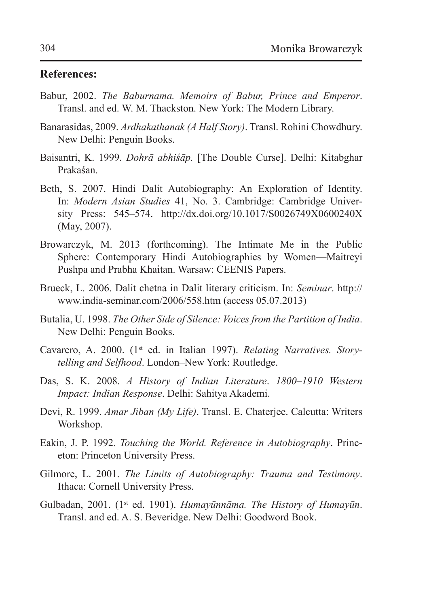## **References:**

- Babur, 2002. *The Baburnama. Memoirs of Babur, Prince and Emperor*. Transl. and ed. W. M. Thackston. New York: The Modern Library.
- Banarasidas, 2009. *Ardhakathanak (A Half Story)*. Transl. Rohini Chowdhury. New Delhi: Penguin Books.
- Baisantri, K. 1999. *Dohrā abhiśāp.* [The Double Curse]. Delhi: Kitabghar Prakaśan.
- Beth, S. 2007. Hindi Dalit Autobiography: An Exploration of Identity. In: *Modern Asian Studies* 41, No. 3. Cambridge: Cambridge University Press: 545–574. http://dx.doi.org/10.1017/S0026749X0600240X (May, 2007).
- Browarczyk, M. 2013 (forthcoming). The Intimate Me in the Public Sphere: Contemporary Hindi Autobiographies by Women—Maitreyi Pushpa and Prabha Khaitan. Warsaw: CEENIS Papers.
- Brueck, L. 2006. Dalit chetna in Dalit literary criticism. In: *Seminar*. http:// www.india-seminar.com/2006/558.htm (access 05.07.2013)
- Butalia, U. 1998. *The Other Side of Silence: Voices from the Partition of India*. New Delhi: Penguin Books.
- Cavarero, A. 2000. (1<sup>st</sup> ed. in Italian 1997). *Relating Narratives. Storytelling and Selfhood*. London–New York: Routledge.
- Das, S. K. 2008. *A History of Indian Literature*. *1800–1910 Western Impact: Indian Response*. Delhi: Sahitya Akademi.
- Devi, R. 1999. *Amar Jiban (My Life)*. Transl. E. Chaterjee. Calcutta: Writers Workshop.
- Eakin, J. P. 1992. *Touching the World. Reference in Autobiography*. Princeton: Princeton University Press.
- Gilmore, L. 2001. *The Limits of Autobiography: Trauma and Testimony*. Ithaca: Cornell University Press.
- Gulbadan, 2001. (1st ed. 1901). *Humayūnnāma. The History of Humayūn*. Transl. and ed. A. S. Beveridge. New Delhi: Goodword Book.